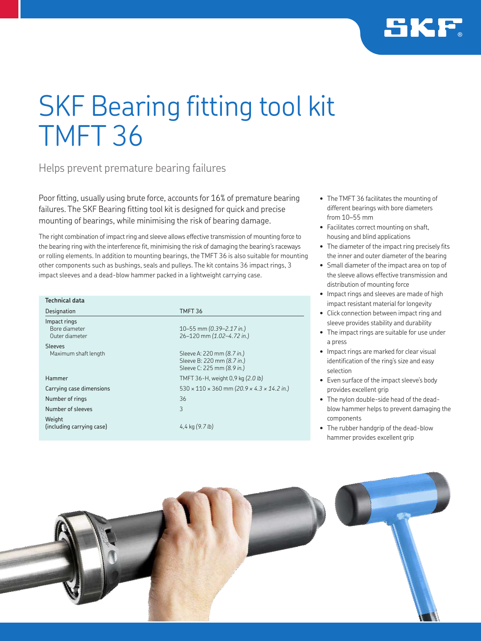

# SKF Bearing fitting tool kit TMFT 36

Helps prevent premature bearing failures

Poor fitting, usually using brute force, accounts for 16% of premature bearing failures. The SKF Bearing fitting tool kit is designed for quick and precise mounting of bearings, while minimising the risk of bearing damage.

The right combination of impact ring and sleeve allows effective transmission of mounting force to the bearing ring with the interference fit, minimising the risk of damaging the bearing's raceways or rolling elements. In addition to mounting bearings, the TMFT 36 is also suitable for mounting other components such as bushings, seals and pulleys. The kit contains 36 impact rings, 3 impact sleeves and a dead-blow hammer packed in a lightweight carrying case.

| <b>Technical data</b>                           |                                                                                        |
|-------------------------------------------------|----------------------------------------------------------------------------------------|
| Designation                                     | TMFT <sub>36</sub>                                                                     |
| Impact rings<br>Bore diameter<br>Outer diameter | 10-55 mm (0.39-2.17 in.)<br>26-120 mm (1.02-4.72 in.)                                  |
| <b>Sleeves</b><br>Maximum shaft length          | Sleeve A: 220 mm (8.7 in.)<br>Sleeve B: 220 mm (8.7 in.)<br>Sleeve C: 225 mm (8.9 in.) |
| Hammer                                          | TMFT 36-H, weight 0,9 kg (2.0 lb)                                                      |
| Carrying case dimensions                        | $530 \times 110 \times 360$ mm (20.9 x 4.3 x 14.2 in.)                                 |
| Number of rings                                 | 36                                                                                     |
| Number of sleeves<br>Weight                     | 3                                                                                      |
| (including carrying case)                       | 4,4 kg $(9.7 lb)$                                                                      |

- The TMFT 36 facilitates the mounting of different bearings with bore diameters from 10–55 mm
- Facilitates correct mounting on shaft. housing and blind applications
- The diameter of the impact ring precisely fits the inner and outer diameter of the bearing
- Small diameter of the impact area on top of the sleeve allows effective transmission and distribution of mounting force
- Impact rings and sleeves are made of high impact resistant material for longevity
- Click connection between impact ring and sleeve provides stability and durability
- The impact rings are suitable for use under a press
- Impact rings are marked for clear visual identification of the ring's size and easy selection
- Even surface of the impact sleeve's body provides excellent grip
- The nylon double-side head of the deadblow hammer helps to prevent damaging the components
- The rubber handgrip of the dead-blow hammer provides excellent grip